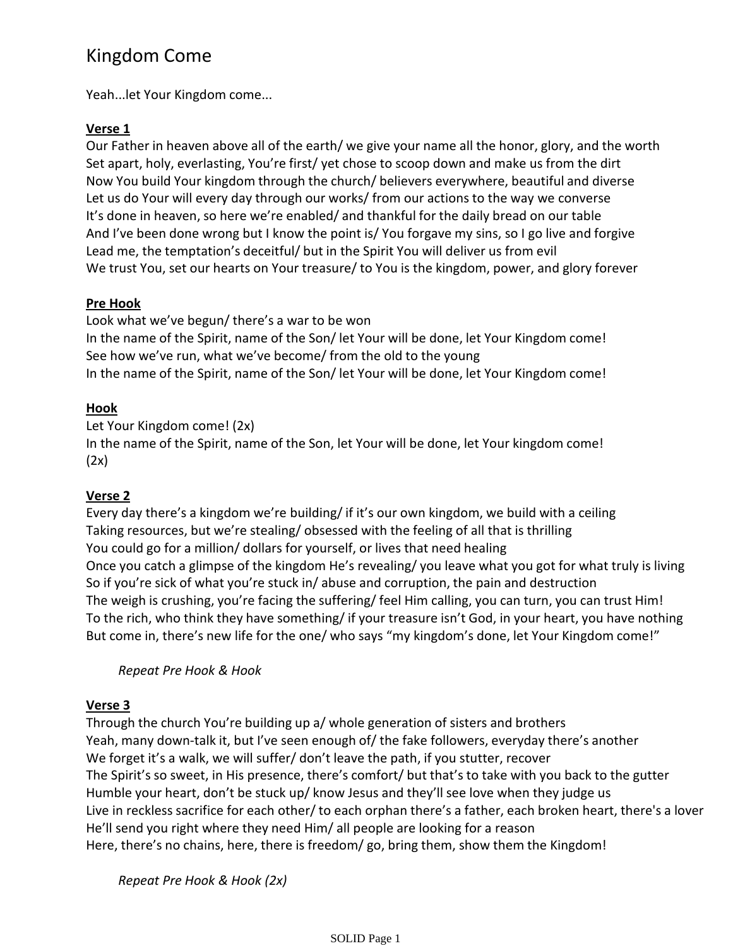# Kingdom Come

Yeah...let Your Kingdom come...

### **Verse 1**

Our Father in heaven above all of the earth/ we give your name all the honor, glory, and the worth Set apart, holy, everlasting, You're first/ yet chose to scoop down and make us from the dirt Now You build Your kingdom through the church/ believers everywhere, beautiful and diverse Let us do Your will every day through our works/ from our actions to the way we converse It's done in heaven, so here we're enabled/ and thankful for the daily bread on our table And I've been done wrong but I know the point is/ You forgave my sins, so I go live and forgive Lead me, the temptation's deceitful/ but in the Spirit You will deliver us from evil We trust You, set our hearts on Your treasure/ to You is the kingdom, power, and glory forever

### **Pre Hook**

Look what we've begun/ there's a war to be won In the name of the Spirit, name of the Son/ let Your will be done, let Your Kingdom come! See how we've run, what we've become/ from the old to the young In the name of the Spirit, name of the Son/ let Your will be done, let Your Kingdom come!

# **Hook**

Let Your Kingdom come! (2x) In the name of the Spirit, name of the Son, let Your will be done, let Your kingdom come!  $(2x)$ 

# **Verse 2**

Every day there's a kingdom we're building/ if it's our own kingdom, we build with a ceiling Taking resources, but we're stealing/ obsessed with the feeling of all that is thrilling You could go for a million/ dollars for yourself, or lives that need healing Once you catch a glimpse of the kingdom He's revealing/ you leave what you got for what truly is living So if you're sick of what you're stuck in/ abuse and corruption, the pain and destruction The weigh is crushing, you're facing the suffering/ feel Him calling, you can turn, you can trust Him! To the rich, who think they have something/ if your treasure isn't God, in your heart, you have nothing But come in, there's new life for the one/ who says "my kingdom's done, let Your Kingdom come!"

*Repeat Pre Hook & Hook*

# **Verse 3**

Through the church You're building up a/ whole generation of sisters and brothers Yeah, many down-talk it, but I've seen enough of/ the fake followers, everyday there's another We forget it's a walk, we will suffer/don't leave the path, if you stutter, recover The Spirit's so sweet, in His presence, there's comfort/ but that's to take with you back to the gutter Humble your heart, don't be stuck up/ know Jesus and they'll see love when they judge us Live in reckless sacrifice for each other/ to each orphan there's a father, each broken heart, there's a lover He'll send you right where they need Him/ all people are looking for a reason Here, there's no chains, here, there is freedom/ go, bring them, show them the Kingdom!

*Repeat Pre Hook & Hook (2x)*